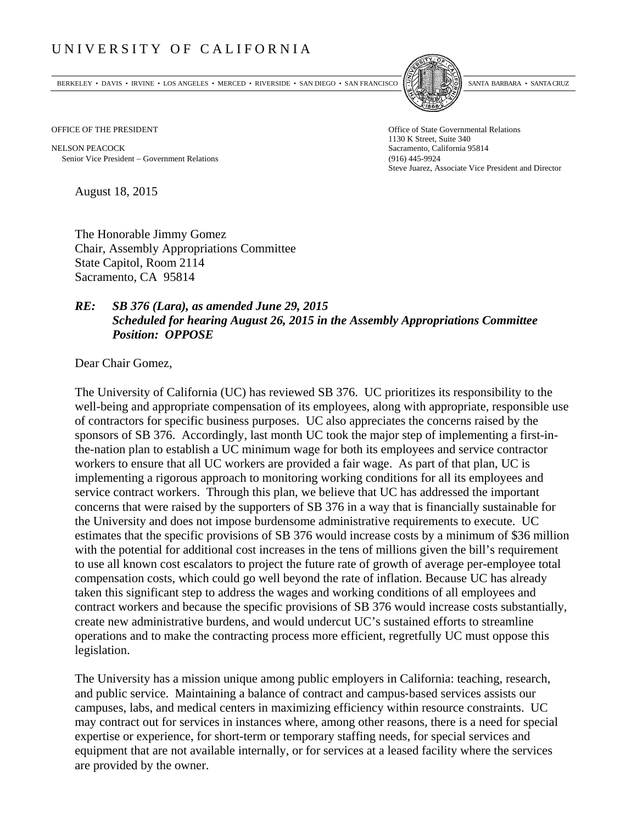## UNIVERSITY OF CALIFORNIA

BERKELEY • DAVIS • IRVINE • LOS ANGELES • MERCED • RIVERSIDE • SAN DIEGO • SAN FRANCISCO SANTA BARBARA • SANTA CRUZ



OFFICE OF THE PRESIDENT STATES OF THE PRESIDENT

NELSON PEACOCK Sacramento, California 95814 Senior Vice President Government Relations (916) 445-9924

1130 K Street, Suite 340 Steve Juarez, Associate Vice President and Director

August 18, 2015

The Honorable Jimmy Gomez Chair, Assembly Appropriations Committee State Capitol, Room 2114 Sacramento, CA 95814

## *RE: SB 376 (Lara), as amended June 29, 2015 Scheduled for hearing August 26, 2015 in the Assembly Appropriations Committee Position: OPPOSE*

Dear Chair Gomez,

The University of California (UC) has reviewed SB 376. UC prioritizes its responsibility to the well-being and appropriate compensation of its employees, along with appropriate, responsible use of contractors for specific business purposes. UC also appreciates the concerns raised by the sponsors of SB 376. Accordingly, last month UC took the major step of implementing a first-inthe-nation plan to establish a UC minimum wage for both its employees and service contractor workers to ensure that all UC workers are provided a fair wage. As part of that plan, UC is implementing a rigorous approach to monitoring working conditions for all its employees and service contract workers. Through this plan, we believe that UC has addressed the important concerns that were raised by the supporters of SB 376 in a way that is financially sustainable for the University and does not impose burdensome administrative requirements to execute. UC estimates that the specific provisions of SB 376 would increase costs by a minimum of \$36 million with the potential for additional cost increases in the tens of millions given the bill's requirement to use all known cost escalators to project the future rate of growth of average per-employee total compensation costs, which could go well beyond the rate of inflation. Because UC has already taken this significant step to address the wages and working conditions of all employees and contract workers and because the specific provisions of SB 376 would increase costs substantially, create new administrative burdens, and would undercut UC's sustained efforts to streamline operations and to make the contracting process more efficient, regretfully UC must oppose this legislation.

The University has a mission unique among public employers in California: teaching, research, and public service. Maintaining a balance of contract and campus‐based services assists our campuses, labs, and medical centers in maximizing efficiency within resource constraints. UC may contract out for services in instances where, among other reasons, there is a need for special expertise or experience, for short-term or temporary staffing needs, for special services and equipment that are not available internally, or for services at a leased facility where the services are provided by the owner.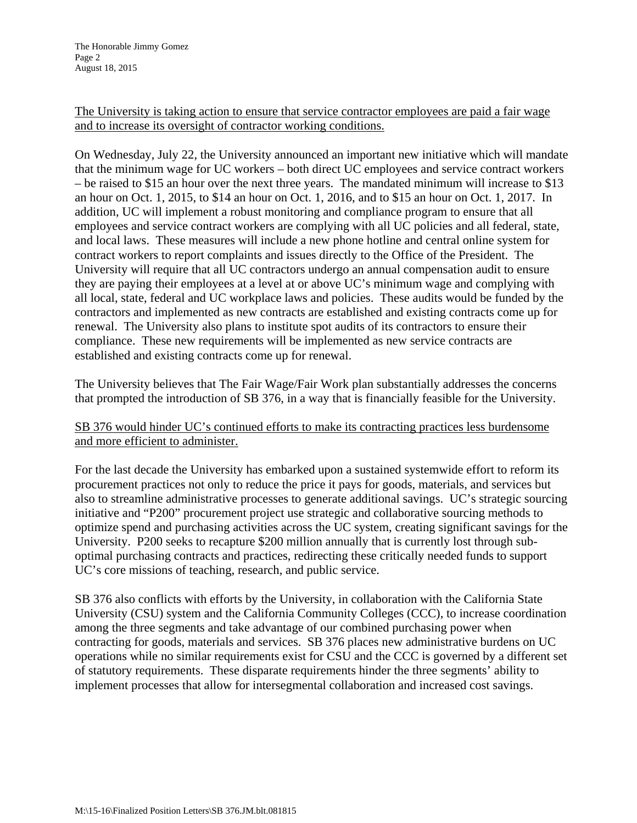## The University is taking action to ensure that service contractor employees are paid a fair wage and to increase its oversight of contractor working conditions.

On Wednesday, July 22, the University announced an important new initiative which will mandate that the minimum wage for UC workers – both direct UC employees and service contract workers – be raised to \$15 an hour over the next three years. The mandated minimum will increase to \$13 an hour on Oct. 1, 2015, to \$14 an hour on Oct. 1, 2016, and to \$15 an hour on Oct. 1, 2017. In addition, UC will implement a robust monitoring and compliance program to ensure that all employees and service contract workers are complying with all UC policies and all federal, state, and local laws. These measures will include a new phone hotline and central online system for contract workers to report complaints and issues directly to the Office of the President. The University will require that all UC contractors undergo an annual compensation audit to ensure they are paying their employees at a level at or above UC's minimum wage and complying with all local, state, federal and UC workplace laws and policies. These audits would be funded by the contractors and implemented as new contracts are established and existing contracts come up for renewal. The University also plans to institute spot audits of its contractors to ensure their compliance. These new requirements will be implemented as new service contracts are established and existing contracts come up for renewal.

The University believes that The Fair Wage/Fair Work plan substantially addresses the concerns that prompted the introduction of SB 376, in a way that is financially feasible for the University.

## SB 376 would hinder UC's continued efforts to make its contracting practices less burdensome and more efficient to administer.

For the last decade the University has embarked upon a sustained systemwide effort to reform its procurement practices not only to reduce the price it pays for goods, materials, and services but also to streamline administrative processes to generate additional savings. UC's strategic sourcing initiative and "P200" procurement project use strategic and collaborative sourcing methods to optimize spend and purchasing activities across the UC system, creating significant savings for the University. P200 seeks to recapture \$200 million annually that is currently lost through suboptimal purchasing contracts and practices, redirecting these critically needed funds to support UC's core missions of teaching, research, and public service.

SB 376 also conflicts with efforts by the University, in collaboration with the California State University (CSU) system and the California Community Colleges (CCC), to increase coordination among the three segments and take advantage of our combined purchasing power when contracting for goods, materials and services. SB 376 places new administrative burdens on UC operations while no similar requirements exist for CSU and the CCC is governed by a different set of statutory requirements. These disparate requirements hinder the three segments' ability to implement processes that allow for intersegmental collaboration and increased cost savings.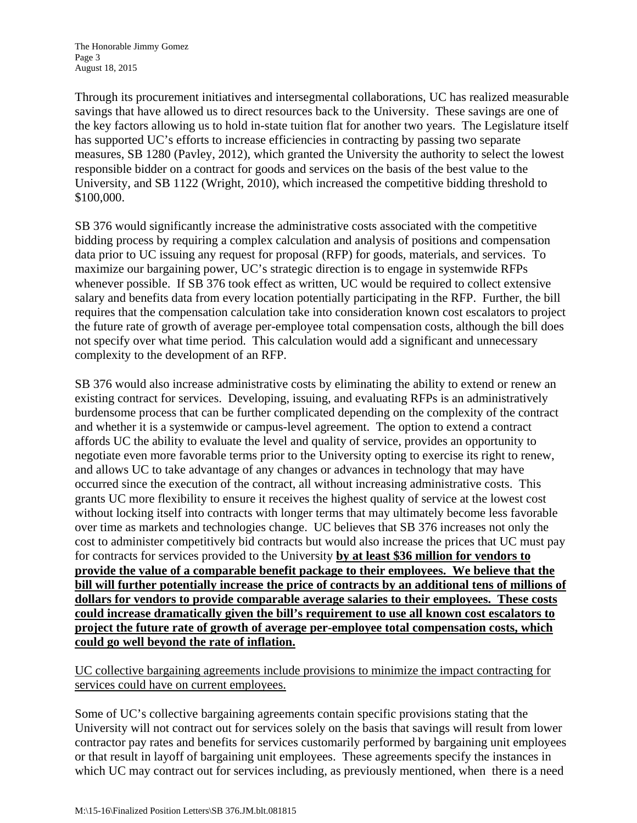Through its procurement initiatives and intersegmental collaborations, UC has realized measurable savings that have allowed us to direct resources back to the University. These savings are one of the key factors allowing us to hold in-state tuition flat for another two years. The Legislature itself has supported UC's efforts to increase efficiencies in contracting by passing two separate measures, SB 1280 (Pavley, 2012), which granted the University the authority to select the lowest responsible bidder on a contract for goods and services on the basis of the best value to the University, and SB 1122 (Wright, 2010), which increased the competitive bidding threshold to \$100,000.

SB 376 would significantly increase the administrative costs associated with the competitive bidding process by requiring a complex calculation and analysis of positions and compensation data prior to UC issuing any request for proposal (RFP) for goods, materials, and services. To maximize our bargaining power, UC's strategic direction is to engage in systemwide RFPs whenever possible. If SB 376 took effect as written, UC would be required to collect extensive salary and benefits data from every location potentially participating in the RFP. Further, the bill requires that the compensation calculation take into consideration known cost escalators to project the future rate of growth of average per-employee total compensation costs, although the bill does not specify over what time period. This calculation would add a significant and unnecessary complexity to the development of an RFP.

SB 376 would also increase administrative costs by eliminating the ability to extend or renew an existing contract for services. Developing, issuing, and evaluating RFPs is an administratively burdensome process that can be further complicated depending on the complexity of the contract and whether it is a systemwide or campus-level agreement. The option to extend a contract affords UC the ability to evaluate the level and quality of service, provides an opportunity to negotiate even more favorable terms prior to the University opting to exercise its right to renew, and allows UC to take advantage of any changes or advances in technology that may have occurred since the execution of the contract, all without increasing administrative costs. This grants UC more flexibility to ensure it receives the highest quality of service at the lowest cost without locking itself into contracts with longer terms that may ultimately become less favorable over time as markets and technologies change. UC believes that SB 376 increases not only the cost to administer competitively bid contracts but would also increase the prices that UC must pay for contracts for services provided to the University **by at least \$36 million for vendors to provide the value of a comparable benefit package to their employees. We believe that the bill will further potentially increase the price of contracts by an additional tens of millions of dollars for vendors to provide comparable average salaries to their employees. These costs could increase dramatically given the bill's requirement to use all known cost escalators to project the future rate of growth of average per-employee total compensation costs, which could go well beyond the rate of inflation.** 

UC collective bargaining agreements include provisions to minimize the impact contracting for services could have on current employees.

Some of UC's collective bargaining agreements contain specific provisions stating that the University will not contract out for services solely on the basis that savings will result from lower contractor pay rates and benefits for services customarily performed by bargaining unit employees or that result in layoff of bargaining unit employees. These agreements specify the instances in which UC may contract out for services including, as previously mentioned, when there is a need